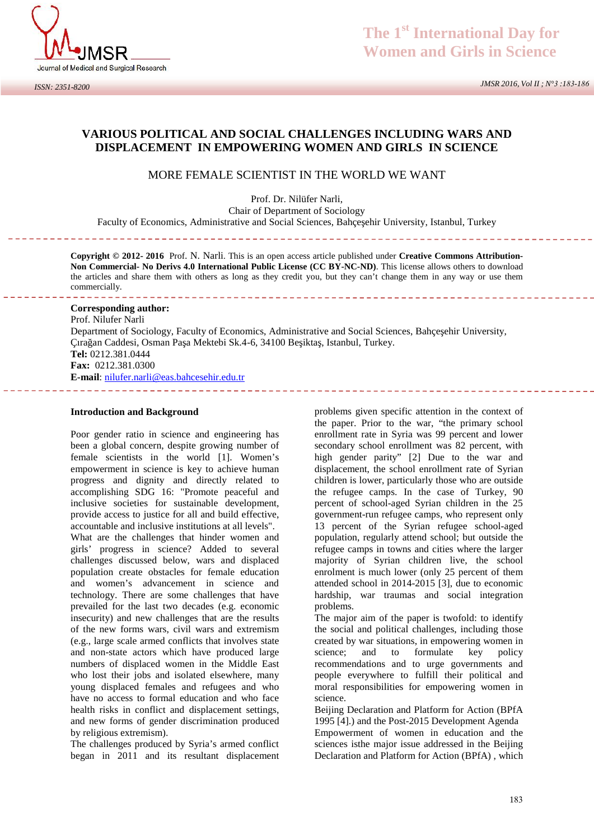

## **VARIOUS POLITICAL AND SOCIAL CHALLENGES INCLUDING WARS AND DISPLACEMENT IN EMPOWERING WOMEN AND GIRLS IN SCIENCE**

#### MORE FEMALE SCIENTIST IN THE WORLD WE WANT

Prof. Dr. Nilüfer Narli, Chair of Department of Sociology Faculty of Economics, Administrative and Social Sciences, Bahçe ehir University, Istanbul, Turkey

**Copyright © 2012- 2016** Prof. N. Narli. This is an open access article published under **Creative Commons Attribution- Non Commercial- No Derivs 4.0 International Public License (CC BY-NC-ND)**. This license allows others to download the articles and share them with others as long as they credit you, but they can't change them in any way or use them commercially.

------------------------

#### **Corresponding author:**

Prof. Nilufer Narli Department of Sociology, Faculty of Economics, Administrative and Social Sciences, Bahçe ehir University, Çıra an Caddesi, Osman Pa a Mektebi Sk.4-6, 34100 Be ikta, Istanbul, Turkey. **Tel:** 0212.381.0444 **Fax:** 0212.381.0300 **E-mail**: nilufer.narli@eas.bahcesehir.edu.tr 

#### **Introduction and Background**

Poor gender ratio in science and engineering has been a global concern, despite growing number of female scientists in the world [1]. Women's empowerment in science is key to achieve human progress and dignity and directly related to accomplishing SDG 16: "Promote peaceful and inclusive societies for sustainable development, provide access to justice for all and build effective, accountable and inclusive institutions at all levels".

What are the challenges that hinder women and girls' progress in science? Added to several challenges discussed below, wars and displaced population create obstacles for female education and women's advancement in science and technology. There are some challenges that have prevailed for the last two decades (e.g. economic insecurity) and new challenges that are the results of the new forms wars, civil wars and extremism (e.g., large scale armed conflicts that involves state and non-state actors which have produced large numbers of displaced women in the Middle East who lost their jobs and isolated elsewhere, many young displaced females and refugees and who have no access to formal education and who face health risks in conflict and displacement settings, and new forms of gender discrimination produced by religious extremism).

The challenges produced by Syria's armed conflict began in 2011 and its resultant displacement

problems given specific attention in the context of the paper. Prior to the war, "the primary school enrollment rate in Syria was 99 percent and lower secondary school enrollment was 82 percent, with high gender parity" [2] Due to the war and displacement, the school enrollment rate of Syrian children is lower, particularly those who are outside the refugee camps. In the case of Turkey, 90 percent of school-aged Syrian children in the 25 government-run refugee camps, who represent only 13 percent of the Syrian refugee school-aged population, regularly attend school; but outside the refugee camps in towns and cities where the larger majority of Syrian children live, the school enrolment is much lower (only 25 percent of them attended school in 2014-2015 [3], due to economic hardship, war traumas and social integration problems.

The major aim of the paper is twofold: to identify the social and political challenges, including those created by war situations, in empowering women in science: and to formulate key policy recommendations and to urge governments and people everywhere to fulfill their political and moral responsibilities for empowering women in science.

Beijing Declaration and Platform for Action (BPfA 1995 [4].) and the Post-2015 Development Agenda Empowerment of women in education and the sciences isthe major issue addressed in the Beijing Declaration and Platform for Action (BPfA) , which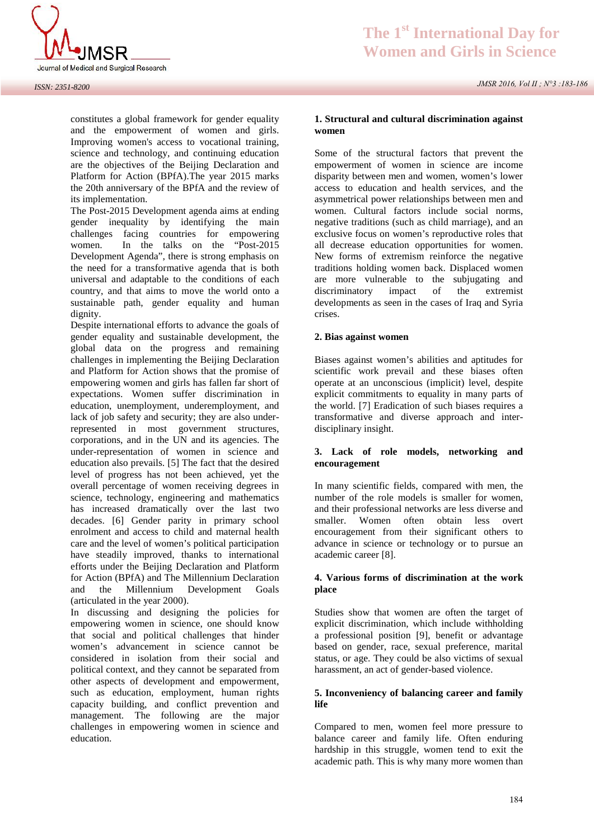

#### *ISSN: 2351-8200*

constitutes a global framework for gender equality and the empowerment of women and girls. Improving women's access to vocational training, science and technology, and continuing education are the objectives of the Beijing Declaration and Platform for Action (BPfA).The year 2015 marks the 20th anniversary of the BPfA and the review of its implementation.

The Post-2015 Development agenda aims at ending gender inequality by identifying the main challenges facing countries for empowering women. In the talks on the "Post-2015 Development Agenda", there is strong emphasis on the need for a transformative agenda that is both universal and adaptable to the conditions of each country, and that aims to move the world onto a sustainable path, gender equality and human dignity.

Despite international efforts to advance the goals of gender equality and sustainable development, the global data on the progress and remaining challenges in implementing the Beijing Declaration and Platform for Action shows that the promise of empowering women and girls has fallen far short of expectations. Women suffer discrimination in education, unemployment, underemployment, and lack of job safety and security; they are also underrepresented in most government structures, corporations, and in the UN and its agencies. The under-representation of women in science and education also prevails. [5] The fact that the desired level of progress has not been achieved, yet the overall percentage of women receiving degrees in science, technology, engineering and mathematics has increased dramatically over the last two decades. [6] Gender parity in primary school enrolment and access to child and maternal health care and the level of women's political participation have steadily improved, thanks to international efforts under the Beijing Declaration and Platform for Action (BPfA) and The Millennium Declaration 4. Various forms of discrimination at the work and the Millennium Development Goals (articulated in the year 2000).

In discussing and designing the policies for empowering women in science, one should know that social and political challenges that hinder women's advancement in science cannot be considered in isolation from their social and political context, and they cannot be separated from other aspects of development and empowerment, such as education, employment, human rights capacity building, and conflict prevention and management. The following are the major challenges in empowering women in science and education.

### **1. Structural and cultural discrimination against women**

Some of the structural factors that prevent the empowerment of women in science are income disparity between men and women, women's lower access to education and health services, and the asymmetrical power relationships between men and women. Cultural factors include social norms, negative traditions (such as child marriage), and an exclusive focus on women's reproductive roles that all decrease education opportunities for women. New forms of extremism reinforce the negative traditions holding women back. Displaced women are more vulnerable to the subjugating and discriminatory impact of the extremist developments as seen in the cases of Iraq and Syria crises.

#### **2. Bias against women**

Biases against women's abilities and aptitudes for scientific work prevail and these biases often operate at an unconscious (implicit) level, despite explicit commitments to equality in many parts of the world. [7] Eradication of such biases requires a transformative and diverse approach and inter disciplinary insight.

#### **3. Lack of role models, networking and encouragement**

In many scientific fields, compared with men, the number of the role models is smaller for women, and their professional networks are less diverse and smaller. Women often obtain less overt encouragement from their significant others to advance in science or technology or to pursue an academic career [8]. Finallier. Women often obtain less overtencouragement from their significant others to advance in science or technology or to pursue an academic career [8].<br>**4. Various forms of discrimination at the work** place

# **place**

Studies show that women are often the target of explicit discrimination, which include withholding a professional position [9], benefit or advantage based on gender, race, sexual preference, marital status, or age. They could be also victims of sexual harassment, an act of gender-based violence.

#### **5. Inconveniency of balancing career and family life**

Compared to men, women feel more pressure to balance career and family life. Often enduring hardship in this struggle, women tend to exit the academic path. This is why many more women than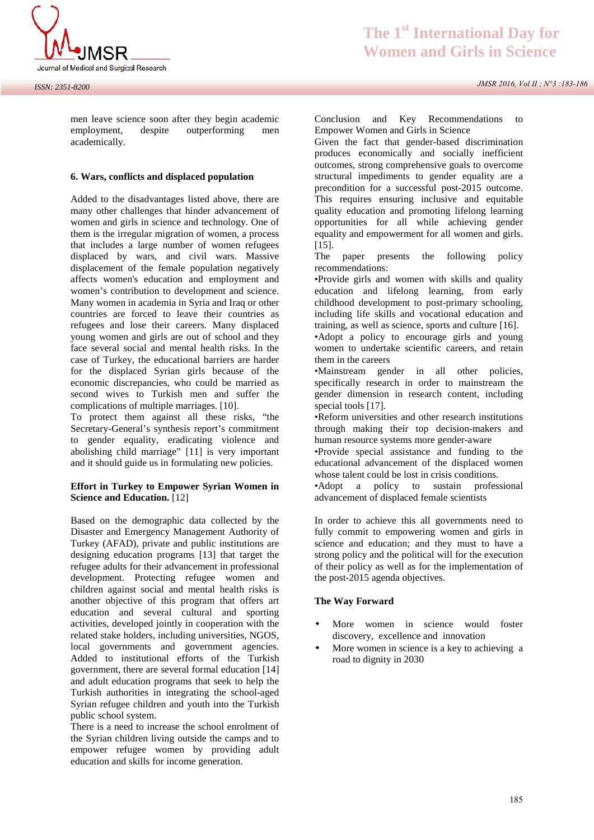

men leave science soon after they begin academic employment, despite outperforming men academically. men leave science soon after they begin academic<br>
employment, despite outperforming men<br>
academically.<br> **6. Wars, conflicts and displaced population** 

Added to the disadvantages listed above, there are many other challenges that hinder advancement of women and girls in science and technology. One of them is the irregular migration of women, a process that includes a large number of women refugees displaced by wars, and civil wars. Massive displacement of the female population negatively affects women's education and employment and women's contribution to development and science. Many women in academia in Syria and Iraq or other countries are forced to leave their countries as refugees and lose their careers. Many displaced young women and girls are out of school and they face several social and mental health risks. In the case of Turkey, the educational barriers are harder for the displaced Syrian girls because of the economic discrepancies, who could be married as second wives to Turkish men and suffer the complications of multiple marriages. [10].

To protect them against all these risks, "the Secretary-General's synthesis report's commitment to gender equality, eradicating violence and abolishing child marriage" [11] is very important and it should guide us in formulating new policies.

#### **Effort in Turkey to Empower Syrian Women in Science and Education.** [12]

Based on the demographic data collected by the Disaster and Emergency Management Authority of Turkey (AFAD), private and public institutions are designing education programs [13] that target the refugee adults for their advancement in professional development. Protecting refugee women and children against social and mental health risks is another objective of this program that offers art education and several cultural and sporting activities, developed jointly in cooperation with the related stake holders, including universities, NGOS, local governments and government agencies. Added to institutional efforts of the Turkish government, there are several formal education [14] and adult education programs that seek to help the Turkish authorities in integrating the school-aged Syrian refugee children and youth into the Turkish public school system.

There is a need to increase the school enrolment of the Syrian children living outside the camps and to empower refugee women by providing adult education and skills for income generation.

Conclusion and Key Recommendations to Empower Women and Girls in Science

Given the fact that gender-based discrimination produces economically and socially inefficient outcomes, strong comprehensive goals to overcome structural impediments to gender equality are a precondition for a successful post-2015 outcome. This requires ensuring inclusive and equitable quality education and promoting lifelong learning opportunities for all while achieving gender equality and empowerment for all women and girls. [15].

The paper presents the following policy recommendations:

•Provide girls and women with skills and quality education and lifelong learning, from early childhood development to post-primary schooling, including life skills and vocational education and training, as well as science, sports and culture [16].

•Adopt a policy to encourage girls and young women to undertake scientific careers, and retain them in the careers

•Mainstream gender in all other policies, specifically research in order to mainstream the gender dimension in research content, including special tools [17].

•Reform universities and other research institutions through making their top decision-makers and human resource systems more gender-aware

•Provide special assistance and funding to the educational advancement of the displaced women whose talent could be lost in crisis conditions.

•Adopt a policy to sustain professional advancement of displaced female scientists

In order to achieve this all governments need to fully commit to empowering women and girls in science and education; and they must to have a strong policy and the political will for the execution of their policy as well as for the implementation of the post-2015 agenda objectives.

#### **The Way Forward**

- More women in science would foster discovery, excellence and innovation
- More women in science is a key to achieving a road to dignity in 2030